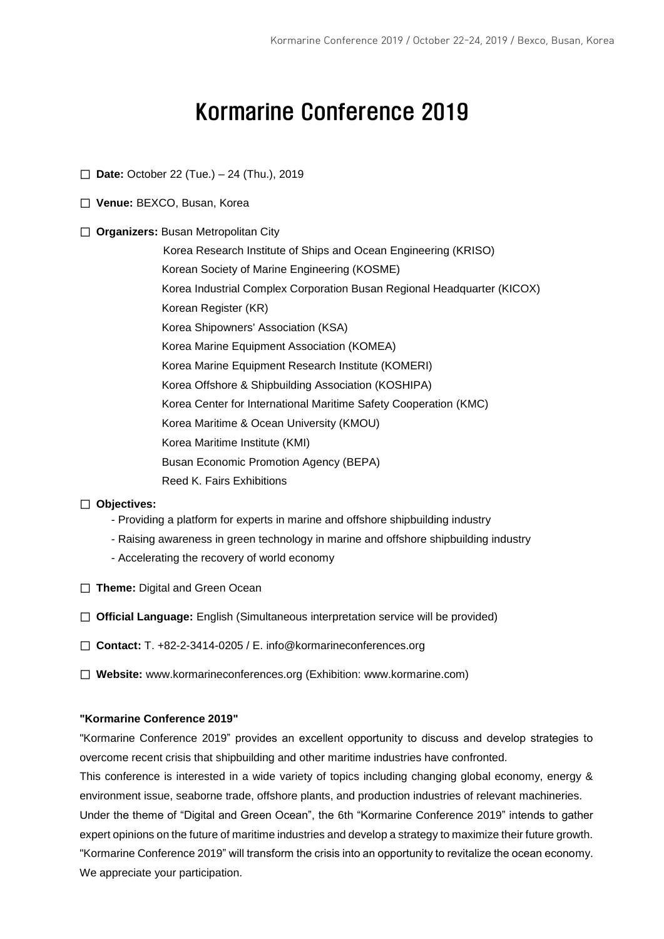# Kormarine Conference 2019

- □ **Date:** October 22 (Tue.) 24 (Thu.), 2019
- □ **Venue:** BEXCO, Busan, Korea
- □ **Organizers:** Busan Metropolitan City

 Korea Research Institute of Ships and Ocean Engineering (KRISO) Korean Society of Marine Engineering (KOSME) Korea Industrial Complex Corporation Busan Regional Headquarter (KICOX) Korean Register (KR) Korea Shipowners' Association (KSA) Korea Marine Equipment Association (KOMEA) Korea Marine Equipment Research Institute (KOMERI) Korea Offshore & Shipbuilding Association (KOSHIPA) Korea Center for International Maritime Safety Cooperation (KMC) Korea Maritime & Ocean University (KMOU) Korea Maritime Institute (KMI) Busan Economic Promotion Agency (BEPA) Reed K. Fairs Exhibitions

#### □ **Objectives:**

- Providing a platform for experts in marine and offshore shipbuilding industry
- Raising awareness in green technology in marine and offshore shipbuilding industry
- Accelerating the recovery of world economy
- □ **Theme:** Digital and Green Ocean
- □ **Official Language:** English (Simultaneous interpretation service will be provided)
- □ **Contact:** T. +82-2-3414-0205 / E. info@kormarineconferences.org
- □ **Website:** www.kormarineconferences.org (Exhibition: www.kormarine.com)

#### **"Kormarine Conference 2019"**

"Kormarine Conference 2019" provides an excellent opportunity to discuss and develop strategies to overcome recent crisis that shipbuilding and other maritime industries have confronted.

This conference is interested in a wide variety of topics including changing global economy, energy & environment issue, seaborne trade, offshore plants, and production industries of relevant machineries. Under the theme of "Digital and Green Ocean", the 6th "Kormarine Conference 2019" intends to gather expert opinions on the future of maritime industries and develop a strategy to maximize their future growth. "Kormarine Conference 2019" will transform the crisis into an opportunity to revitalize the ocean economy. We appreciate your participation.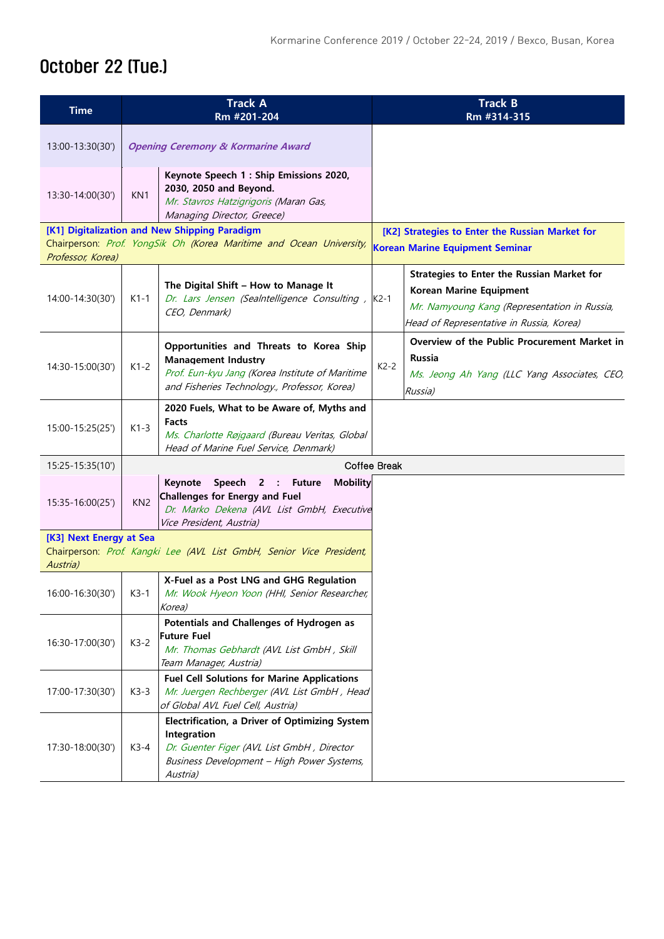## October 22 (Tue.)

| <b>Time</b>                         | <b>Track A</b><br>Rm #201-204                 |                                                                                                                                                                          |                     | <b>Track B</b><br>Rm #314-315                                                                                                                                            |  |  |
|-------------------------------------|-----------------------------------------------|--------------------------------------------------------------------------------------------------------------------------------------------------------------------------|---------------------|--------------------------------------------------------------------------------------------------------------------------------------------------------------------------|--|--|
| 13:00-13:30(30')                    | <b>Opening Ceremony &amp; Kormarine Award</b> |                                                                                                                                                                          |                     |                                                                                                                                                                          |  |  |
| 13:30-14:00(30')                    | KN <sub>1</sub>                               | Keynote Speech 1 : Ship Emissions 2020,<br>2030, 2050 and Beyond.<br>Mr. Stavros Hatzigrigoris (Maran Gas,<br>Managing Director, Greece)                                 |                     |                                                                                                                                                                          |  |  |
| Professor, Korea)                   |                                               | [K1] Digitalization and New Shipping Paradigm<br>Chairperson: Prof. YongSik Oh (Korea Maritime and Ocean University,                                                     |                     | [K2] Strategies to Enter the Russian Market for<br><b>Korean Marine Equipment Seminar</b>                                                                                |  |  |
| 14:00-14:30(30')                    | $K1-1$                                        | The Digital Shift - How to Manage It<br>Dr. Lars Jensen (Sealntelligence Consulting,<br>CEO, Denmark)                                                                    | $K2-1$              | <b>Strategies to Enter the Russian Market for</b><br>Korean Marine Equipment<br>Mr. Namyoung Kang (Representation in Russia,<br>Head of Representative in Russia, Korea) |  |  |
| 14:30-15:00(30')                    | $K1-2$                                        | Opportunities and Threats to Korea Ship<br><b>Management Industry</b><br>Prof. Eun-kyu Jang (Korea Institute of Maritime<br>and Fisheries Technology., Professor, Korea) | $K2-2$              | Overview of the Public Procurement Market in<br>Russia<br>Ms. Jeong Ah Yang (LLC Yang Associates, CEO,<br>Russia)                                                        |  |  |
| 15:00-15:25(25')                    | $K1-3$                                        | 2020 Fuels, What to be Aware of, Myths and<br>Facts<br>Ms. Charlotte Røjgaard (Bureau Veritas, Global<br>Head of Marine Fuel Service, Denmark)                           |                     |                                                                                                                                                                          |  |  |
| 15:25-15:35(10')                    |                                               |                                                                                                                                                                          | <b>Coffee Break</b> |                                                                                                                                                                          |  |  |
| 15:35-16:00(25')                    | KN <sub>2</sub>                               | Speech 2 : Future<br>Keynote<br><b>Mobility</b><br><b>Challenges for Energy and Fuel</b><br>Dr. Marko Dekena (AVL List GmbH, Executive<br>Vice President, Austria)       |                     |                                                                                                                                                                          |  |  |
| [K3] Next Energy at Sea<br>Austria) |                                               | Chairperson: Prof. Kangki Lee (AVL List GmbH, Senior Vice President,                                                                                                     |                     |                                                                                                                                                                          |  |  |
| 16:00-16:30(30')                    | $K3-1$                                        | X-Fuel as a Post LNG and GHG Regulation<br>Mr. Wook Hyeon Yoon (HHI, Senior Researcher,<br>Korea)                                                                        |                     |                                                                                                                                                                          |  |  |
| 16:30-17:00(30')                    | $K3-2$                                        | Potentials and Challenges of Hydrogen as<br><b>Future Fuel</b><br>Mr. Thomas Gebhardt (AVL List GmbH, Skill<br>Team Manager, Austria)                                    |                     |                                                                                                                                                                          |  |  |
| 17:00-17:30(30')                    | $K3-3$                                        | <b>Fuel Cell Solutions for Marine Applications</b><br>Mr. Juergen Rechberger (AVL List GmbH, Head<br>of Global AVL Fuel Cell, Austria)                                   |                     |                                                                                                                                                                          |  |  |
| 17:30-18:00(30')                    | $K3-4$                                        | Electrification, a Driver of Optimizing System<br>Integration<br>Dr. Guenter Figer (AVL List GmbH, Director<br>Business Development - High Power Systems,<br>Austria)    |                     |                                                                                                                                                                          |  |  |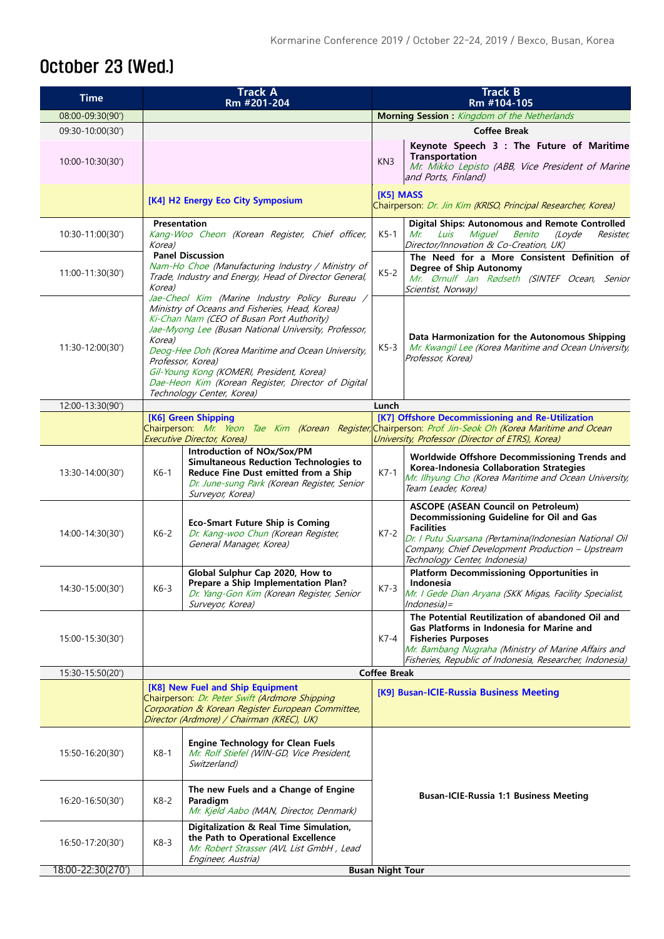### October 23 (Wed.)

| <b>Time</b>       |                                   | <b>Track A</b><br>Rm #201-204                                                                                                                                                                                                                                                                                                                                                                                    | <b>Track B</b><br>Rm #104-105                                              |                                                                                                                                                                                                                                                             |  |
|-------------------|-----------------------------------|------------------------------------------------------------------------------------------------------------------------------------------------------------------------------------------------------------------------------------------------------------------------------------------------------------------------------------------------------------------------------------------------------------------|----------------------------------------------------------------------------|-------------------------------------------------------------------------------------------------------------------------------------------------------------------------------------------------------------------------------------------------------------|--|
| 08:00-09:30(90')  |                                   |                                                                                                                                                                                                                                                                                                                                                                                                                  |                                                                            | Morning Session : Kingdom of the Netherlands                                                                                                                                                                                                                |  |
| 09:30-10:00(30')  |                                   |                                                                                                                                                                                                                                                                                                                                                                                                                  | <b>Coffee Break</b>                                                        |                                                                                                                                                                                                                                                             |  |
| 10:00-10:30(30')  |                                   |                                                                                                                                                                                                                                                                                                                                                                                                                  | KN <sub>3</sub>                                                            | Keynote Speech 3 : The Future of Maritime<br><b>Transportation</b><br>Mr. Mikko Lepisto (ABB, Vice President of Marine<br>and Ports, Finland)                                                                                                               |  |
|                   | [K4] H2 Energy Eco City Symposium |                                                                                                                                                                                                                                                                                                                                                                                                                  | [K5] MASS<br>Chairperson: Dr. Jin Kim (KRISO, Principal Researcher, Korea) |                                                                                                                                                                                                                                                             |  |
| 10:30-11:00(30')  | Presentation<br>Korea)            | Kang-Woo Cheon (Korean Register, Chief officer,                                                                                                                                                                                                                                                                                                                                                                  | $K5-1$                                                                     | <b>Digital Ships: Autonomous and Remote Controlled</b><br>Miguel<br><b>Benito</b><br>(Loyde<br>Resister,<br>Mr.<br>Luis<br>Director/Innovation & Co-Creation, UK)                                                                                           |  |
| 11:00-11:30(30')  | Korea)                            | <b>Panel Discussion</b><br>Nam-Ho Choe (Manufacturing Industry / Ministry of<br>Trade, Industry and Energy, Head of Director General,                                                                                                                                                                                                                                                                            | $K5-2$                                                                     | The Need for a More Consistent Definition of<br>Degree of Ship Autonomy<br>Mr. Ørnulf Jan Rødseth (SINTEF Ocean, Senior<br>Scientist, Norway)                                                                                                               |  |
| 11:30-12:00(30')  | Korea)                            | Jae-Cheol Kim (Marine Industry Policy Bureau /<br>Ministry of Oceans and Fisheries, Head, Korea)<br>Ki-Chan Nam (CEO of Busan Port Authority)<br>Jae-Myong Lee (Busan National University, Professor,<br>Deog-Hee Doh (Korea Maritime and Ocean University,<br>Professor, Korea)<br>Gil-Young Kong (KOMERI, President, Korea)<br>Dae-Heon Kim (Korean Register, Director of Digital<br>Technology Center, Korea) | $K5-3$                                                                     | Data Harmonization for the Autonomous Shipping<br>Mr. Kwangil Lee (Korea Maritime and Ocean University,<br>Professor, Korea)                                                                                                                                |  |
| 12:00-13:30(90')  |                                   |                                                                                                                                                                                                                                                                                                                                                                                                                  | Lunch                                                                      |                                                                                                                                                                                                                                                             |  |
|                   |                                   | [K6] Green Shipping<br>Executive Director, Korea)                                                                                                                                                                                                                                                                                                                                                                |                                                                            | [K7] Offshore Decommissioning and Re-Utilization<br>Chairperson: Mr. Yeon Tae Kim (Korean Register, Chairperson: Prof. Jin-Seok Oh (Korea Maritime and Ocean<br>University, Professor (Director of ETRS), Korea)                                            |  |
| 13:30-14:00(30')  | $K6-1$                            | Introduction of NOx/Sox/PM<br><b>Simultaneous Reduction Technologies to</b><br>Reduce Fine Dust emitted from a Ship<br>Dr. June-sung Park (Korean Register, Senior<br>Surveyor, Korea)                                                                                                                                                                                                                           | $K7-1$                                                                     | Worldwide Offshore Decommissioning Trends and<br>Korea-Indonesia Collaboration Strategies<br>Mr. Ilhyung Cho (Korea Maritime and Ocean University,<br>Team Leader, Korea)                                                                                   |  |
| 14:00-14:30(30')  | $K6-2$                            | <b>Eco-Smart Future Ship is Coming</b><br>Dr. Kang-woo Chun (Korean Register,<br>General Manager, Korea)                                                                                                                                                                                                                                                                                                         | $K7-2$                                                                     | <b>ASCOPE (ASEAN Council on Petroleum)</b><br>Decommissioning Guideline for Oil and Gas<br><b>Facilities</b><br>Dr. I Putu Suarsana (Pertamina(Indonesian National Oil<br>Company, Chief Development Production - Upstream<br>Technology Center, Indonesia) |  |
| 14:30-15:00(30')  | $K6-3$                            | Global Sulphur Cap 2020, How to<br>Prepare a Ship Implementation Plan?<br>Dr. Yang-Gon Kim (Korean Register, Senior<br>Surveyor, Korea)                                                                                                                                                                                                                                                                          | $K7-3$                                                                     | <b>Platform Decommissioning Opportunities in</b><br>Indonesia<br>Mr. I Gede Dian Aryana (SKK Migas, Facility Specialist,<br>$Indonesia=$                                                                                                                    |  |
| 15:00-15:30(30')  |                                   |                                                                                                                                                                                                                                                                                                                                                                                                                  | K7-4                                                                       | The Potential Reutilization of abandoned Oil and<br>Gas Platforms in Indonesia for Marine and<br><b>Fisheries Purposes</b><br>Mr. Bambang Nugraha (Ministry of Marine Affairs and<br>Fisheries, Republic of Indonesia, Researcher, Indonesia)               |  |
| 15:30-15:50(20')  |                                   |                                                                                                                                                                                                                                                                                                                                                                                                                  |                                                                            | <b>Coffee Break</b>                                                                                                                                                                                                                                         |  |
|                   |                                   | [K8] New Fuel and Ship Equipment<br>Chairperson: Dr. Peter Swift (Ardmore Shipping<br>Corporation & Korean Register European Committee,<br>Director (Ardmore) / Chairman (KREC), UK)                                                                                                                                                                                                                             | [K9] Busan-ICIE-Russia Business Meeting                                    |                                                                                                                                                                                                                                                             |  |
| 15:50-16:20(30')  | $K8-1$                            | <b>Engine Technology for Clean Fuels</b><br>Mr. Rolf Stiefel (WIN-GD, Vice President,<br>Switzerland)                                                                                                                                                                                                                                                                                                            |                                                                            |                                                                                                                                                                                                                                                             |  |
| 16:20-16:50(30')  | $K8-2$                            | The new Fuels and a Change of Engine<br>Paradigm<br>Mr. Kjeld Aabo (MAN, Director, Denmark)                                                                                                                                                                                                                                                                                                                      | <b>Busan-ICIE-Russia 1:1 Business Meeting</b>                              |                                                                                                                                                                                                                                                             |  |
| 16:50-17:20(30')  | K8-3                              | Digitalization & Real Time Simulation,<br>the Path to Operational Excellence<br>Mr. Robert Strasser (AVL List GmbH, Lead<br>Engineer, Austria)                                                                                                                                                                                                                                                                   |                                                                            |                                                                                                                                                                                                                                                             |  |
| 18:00-22:30(270') | <b>Busan Night Tour</b>           |                                                                                                                                                                                                                                                                                                                                                                                                                  |                                                                            |                                                                                                                                                                                                                                                             |  |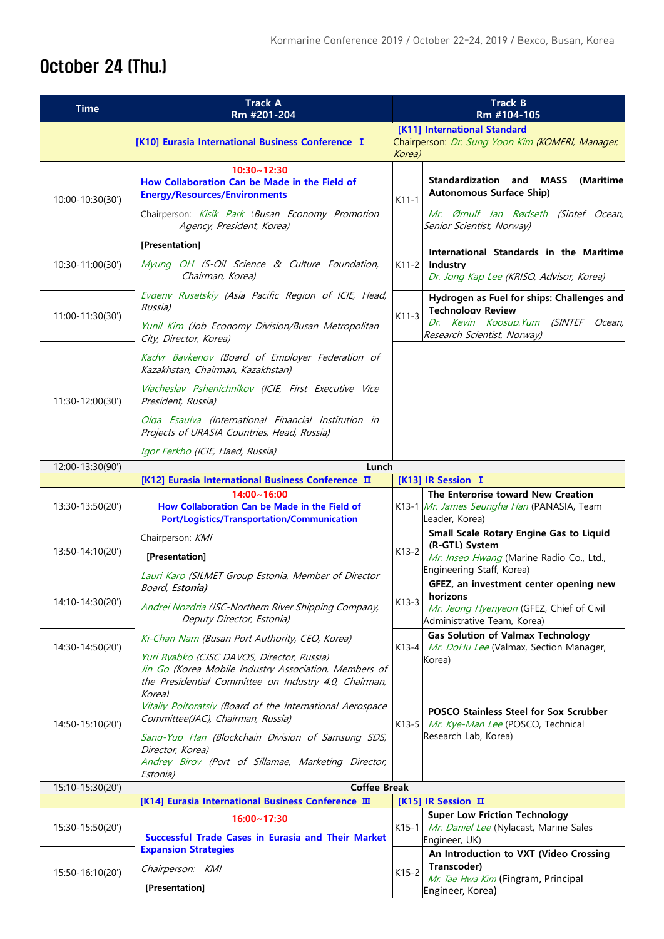### October 24 (Thu.)

| <b>Time</b>      | <b>Track A</b><br>Rm #201-204                                                                                                                                                                                                                                                                                                                              | <b>Track B</b><br>Rm #104-105                                                                                         |  |  |  |  |  |
|------------------|------------------------------------------------------------------------------------------------------------------------------------------------------------------------------------------------------------------------------------------------------------------------------------------------------------------------------------------------------------|-----------------------------------------------------------------------------------------------------------------------|--|--|--|--|--|
|                  | [K10] Eurasia International Business Conference I                                                                                                                                                                                                                                                                                                          | [K11] International Standard<br>Chairperson: Dr. Sung Yoon Kim (KOMERI, Manager,<br>Korea)                            |  |  |  |  |  |
| 10:00-10:30(30') | $10:30 - 12:30$<br>How Collaboration Can be Made in the Field of<br><b>Energy/Resources/Environments</b>                                                                                                                                                                                                                                                   | <b>Standardization and MASS</b><br>(Maritime<br><b>Autonomous Surface Ship)</b><br>$K11-1$                            |  |  |  |  |  |
|                  | Chairperson: Kisik Park (Busan Economy Promotion<br>Agency, President, Korea)                                                                                                                                                                                                                                                                              | Mr. Ørnulf Jan Rødseth (Sintef Ocean,<br>Senior Scientist, Norway)                                                    |  |  |  |  |  |
|                  | [Presentation]                                                                                                                                                                                                                                                                                                                                             | International Standards in the Maritime                                                                               |  |  |  |  |  |
| 10:30-11:00(30') | Myung OH (S-Oil Science & Culture Foundation,<br>Chairman, Korea)                                                                                                                                                                                                                                                                                          | Industry<br>K11-2<br>Dr. Jong Kap Lee (KRISO, Advisor, Korea)                                                         |  |  |  |  |  |
| 11:00-11:30(30') | Evgeny Rusetskiy (Asia Pacific Region of ICIE, Head,<br>Russia)                                                                                                                                                                                                                                                                                            | Hydrogen as Fuel for ships: Challenges and<br><b>Technology Review</b><br>$K11-3$                                     |  |  |  |  |  |
|                  | Yunil Kim (Job Economy Division/Busan Metropolitan<br>City, Director, Korea)                                                                                                                                                                                                                                                                               | Dr. Kevin Koosup.Yum (SINTEF Ocean,<br>Research Scientist, Norway)                                                    |  |  |  |  |  |
| 11:30-12:00(30') | Kadvr Bavkenov (Board of Employer Federation of<br>Kazakhstan, Chairman, Kazakhstan)                                                                                                                                                                                                                                                                       |                                                                                                                       |  |  |  |  |  |
|                  | Viacheslav Pshenichnikov (ICIE, First Executive Vice<br>President, Russia)                                                                                                                                                                                                                                                                                 |                                                                                                                       |  |  |  |  |  |
|                  | Olga Esaulya (International Financial Institution in<br>Projects of URASIA Countries, Head, Russia)                                                                                                                                                                                                                                                        |                                                                                                                       |  |  |  |  |  |
|                  | Igor Ferkho (ICIE, Haed, Russia)                                                                                                                                                                                                                                                                                                                           |                                                                                                                       |  |  |  |  |  |
| 12:00-13:30(90') | Lunch                                                                                                                                                                                                                                                                                                                                                      |                                                                                                                       |  |  |  |  |  |
|                  | [K12] Eurasia International Business Conference II                                                                                                                                                                                                                                                                                                         | [K13] IR Session I                                                                                                    |  |  |  |  |  |
| 13:30-13:50(20') | 14:00~16:00<br>How Collaboration Can be Made in the Field of<br><b>Port/Logistics/Transportation/Communication</b>                                                                                                                                                                                                                                         | The Enterprise toward New Creation<br>K13-1 Mr. James Seungha Han (PANASIA, Team<br>Leader, Korea)                    |  |  |  |  |  |
|                  | Chairperson: KMI                                                                                                                                                                                                                                                                                                                                           | Small Scale Rotary Engine Gas to Liquid                                                                               |  |  |  |  |  |
| 13:50-14:10(20') | [Presentation]                                                                                                                                                                                                                                                                                                                                             | (R-GTL) Svstem<br>$K13-2$<br>Mr. Inseo Hwang (Marine Radio Co., Ltd.,                                                 |  |  |  |  |  |
|                  | Lauri Karp (SILMET Group Estonia, Member of Director                                                                                                                                                                                                                                                                                                       | Engineering Staff, Korea)                                                                                             |  |  |  |  |  |
|                  | Board, Estonia)                                                                                                                                                                                                                                                                                                                                            | GFEZ, an investment center opening new<br>horizons                                                                    |  |  |  |  |  |
| 14:10-14:30(20') | Andrei Nozdria (JSC-Northern River Shipping Company,<br>Deputy Director, Estonia)                                                                                                                                                                                                                                                                          | $K13-3$<br>Mr. Jeong Hyenyeon (GFEZ, Chief of Civil<br>Administrative Team, Korea)                                    |  |  |  |  |  |
| 14:30-14:50(20') | Ki-Chan Nam (Busan Port Authority, CEO, Korea)                                                                                                                                                                                                                                                                                                             | <b>Gas Solution of Valmax Technology</b><br>Mr. DoHu Lee (Valmax, Section Manager,<br>K13-4                           |  |  |  |  |  |
|                  | Yuri Rvabko (CJSC DAVOS, Director, Russia)                                                                                                                                                                                                                                                                                                                 | Korea)                                                                                                                |  |  |  |  |  |
| 14:50-15:10(20') | Jin Go (Korea Mobile Industry Association, Members of<br>the Presidential Committee on Industry 4.0, Chairman,<br>Korea)<br>Vitaliv Poltoratsiv (Board of the International Aerospace<br>Committee(JAC), Chairman, Russia)<br>Sang-Yup Han (Blockchain Division of Samsung SDS,<br>Director, Korea)<br>Andrev Birov (Port of Sillamae, Marketing Director, | <b>POSCO Stainless Steel for Sox Scrubber</b><br>Mr. Kye-Man Lee (POSCO, Technical<br>$K13-5$<br>Research Lab, Korea) |  |  |  |  |  |
| 15:10-15:30(20') | Estonia)<br><b>Coffee Break</b><br>[K14] Eurasia International Business Conference Ⅲ<br>[K15] IR Session II                                                                                                                                                                                                                                                |                                                                                                                       |  |  |  |  |  |
|                  |                                                                                                                                                                                                                                                                                                                                                            |                                                                                                                       |  |  |  |  |  |
| 15:30-15:50(20') | $16:00 - 17:30$<br>Successful Trade Cases in Eurasia and Their Market                                                                                                                                                                                                                                                                                      | <b>Super Low Friction Technology</b><br>Mr. Daniel Lee (Nylacast, Marine Sales<br>K15-1<br>Engineer, UK)              |  |  |  |  |  |
| 15:50-16:10(20') | <b>Expansion Strategies</b>                                                                                                                                                                                                                                                                                                                                | An Introduction to VXT (Video Crossing                                                                                |  |  |  |  |  |
|                  | Chairperson: KMI                                                                                                                                                                                                                                                                                                                                           | Transcoder)<br>$K15-2$<br>Mr. Tae Hwa Kim (Fingram, Principal                                                         |  |  |  |  |  |
|                  | [Presentation]                                                                                                                                                                                                                                                                                                                                             | Engineer, Korea)                                                                                                      |  |  |  |  |  |